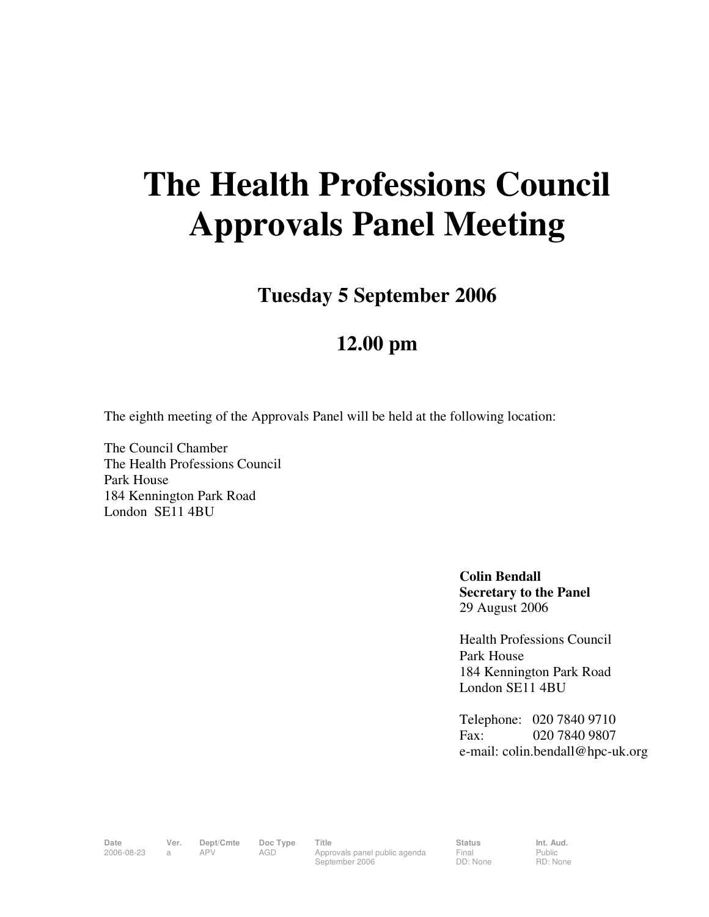## **The Health Professions Council Approvals Panel Meeting**

**Tuesday 5 September 2006** 

## **12.00 pm**

The eighth meeting of the Approvals Panel will be held at the following location:

The Council Chamber The Health Professions Council Park House 184 Kennington Park Road London SE11 4BU

> **Colin Bendall Secretary to the Panel**  29 August 2006

Health Professions Council Park House 184 Kennington Park Road London SE11 4BU

Telephone: 020 7840 9710 Fax: 020 7840 9807 e-mail: colin.bendall@hpc-uk.org

Date Ver. Dept/Cmte Doc<sup>Type</sup> Title **Status** Status Int. Aud. 2006-08-23 a APV AGD Approvals panel public agenda September 2006

Final DD: None Public RD: None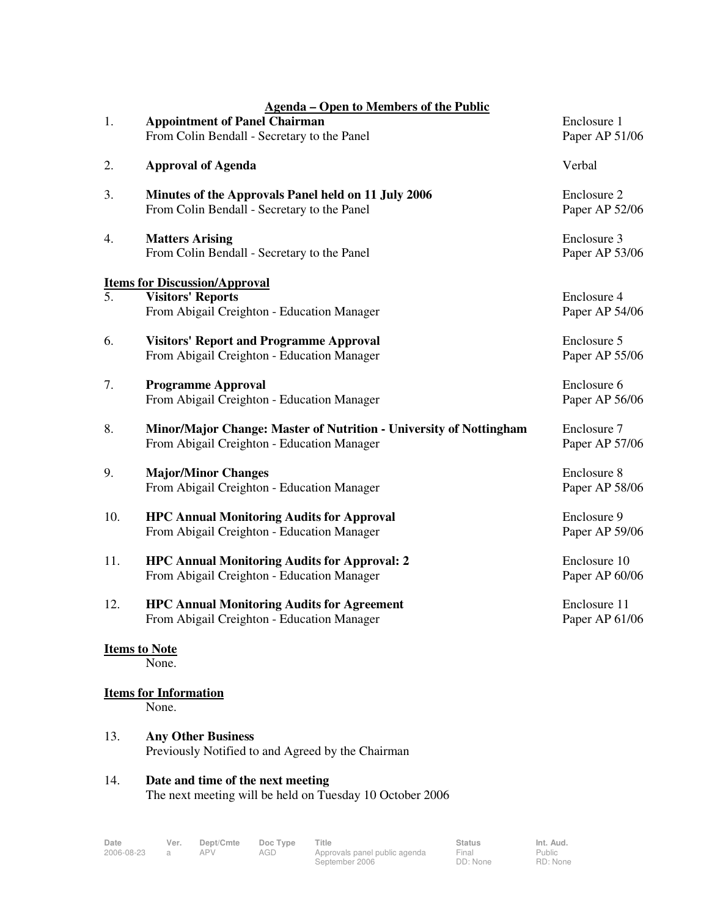|                                      | <b>Agenda – Open to Members of the Public</b>                                                                    |                                |
|--------------------------------------|------------------------------------------------------------------------------------------------------------------|--------------------------------|
| 1.                                   | <b>Appointment of Panel Chairman</b><br>From Colin Bendall - Secretary to the Panel                              | Enclosure 1<br>Paper AP 51/06  |
| 2.                                   | <b>Approval of Agenda</b>                                                                                        | Verbal                         |
| 3.                                   | Minutes of the Approvals Panel held on 11 July 2006<br>From Colin Bendall - Secretary to the Panel               | Enclosure 2<br>Paper AP 52/06  |
| 4.                                   | <b>Matters Arising</b><br>From Colin Bendall - Secretary to the Panel                                            | Enclosure 3<br>Paper AP 53/06  |
| <b>Items for Discussion/Approval</b> |                                                                                                                  |                                |
| $\overline{5}$ .                     | <b>Visitors' Reports</b><br>From Abigail Creighton - Education Manager                                           | Enclosure 4<br>Paper AP 54/06  |
| 6.                                   | <b>Visitors' Report and Programme Approval</b><br>From Abigail Creighton - Education Manager                     | Enclosure 5<br>Paper AP 55/06  |
| 7.                                   | <b>Programme Approval</b><br>From Abigail Creighton - Education Manager                                          | Enclosure 6<br>Paper AP 56/06  |
| 8.                                   | Minor/Major Change: Master of Nutrition - University of Nottingham<br>From Abigail Creighton - Education Manager | Enclosure 7<br>Paper AP 57/06  |
| 9.                                   | <b>Major/Minor Changes</b><br>From Abigail Creighton - Education Manager                                         | Enclosure 8<br>Paper AP 58/06  |
| 10.                                  | <b>HPC Annual Monitoring Audits for Approval</b><br>From Abigail Creighton - Education Manager                   | Enclosure 9<br>Paper AP 59/06  |
| 11.                                  | <b>HPC Annual Monitoring Audits for Approval: 2</b><br>From Abigail Creighton - Education Manager                | Enclosure 10<br>Paper AP 60/06 |
| 12.                                  | <b>HPC Annual Monitoring Audits for Agreement</b><br>From Abigail Creighton - Education Manager                  | Enclosure 11<br>Paper AP 61/06 |
| <b>Items to Note</b>                 |                                                                                                                  |                                |
|                                      | None.                                                                                                            |                                |
| <b>Items for Information</b>         |                                                                                                                  |                                |
|                                      | None.                                                                                                            |                                |
| 13.                                  | <b>Any Other Business</b><br>Previously Notified to and Agreed by the Chairman                                   |                                |
| 14.                                  | Date and time of the next meeting<br>The next meeting will be held on Tuesday 10 October 2006                    |                                |

**Date Ver. Dept/Cmte Doc Type Title Status Status Status**<br>2006-08-23 a APV AGD Approvals panel public agenda Final 2006-08-23 a APV AGD Approvals panel public agenda September 2006

Final DD: None Public RD: None